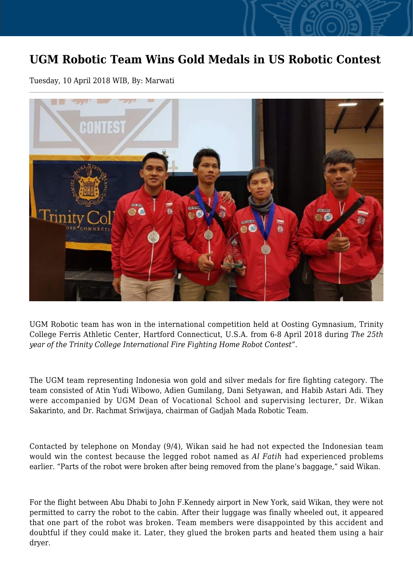## **UGM Robotic Team Wins Gold Medals in US Robotic Contest**

Tuesday, 10 April 2018 WIB, By: Marwati



UGM Robotic team has won in the international competition held at Oosting Gymnasium, Trinity College Ferris Athletic Center, Hartford Connecticut, U.S.A. from 6-8 April 2018 during *The 25th year of the Trinity College International Fire Fighting Home Robot Contest"*.

The UGM team representing Indonesia won gold and silver medals for fire fighting category. The team consisted of Atin Yudi Wibowo, Adien Gumilang, Dani Setyawan, and Habib Astari Adi. They were accompanied by UGM Dean of Vocational School and supervising lecturer, Dr. Wikan Sakarinto, and Dr. Rachmat Sriwijaya, chairman of Gadjah Mada Robotic Team.

Contacted by telephone on Monday (9/4), Wikan said he had not expected the Indonesian team would win the contest because the legged robot named as *Al Fatih* had experienced problems earlier. "Parts of the robot were broken after being removed from the plane's baggage," said Wikan.

For the flight between Abu Dhabi to John F.Kennedy airport in New York, said Wikan, they were not permitted to carry the robot to the cabin. After their luggage was finally wheeled out, it appeared that one part of the robot was broken. Team members were disappointed by this accident and doubtful if they could make it. Later, they glued the broken parts and heated them using a hair dryer.